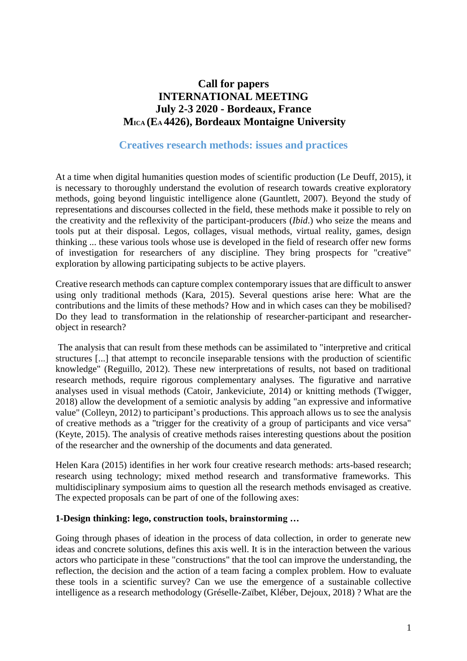# **Call for papers INTERNATIONAL MEETING July 2-3 2020 - Bordeaux, France MICA (EA 4426), Bordeaux Montaigne University**

# **Creatives research methods: issues and practices**

At a time when digital humanities question modes of scientific production (Le Deuff, 2015), it is necessary to thoroughly understand the evolution of research towards creative exploratory methods, going beyond linguistic intelligence alone (Gauntlett, 2007). Beyond the study of representations and discourses collected in the field, these methods make it possible to rely on the creativity and the reflexivity of the participant-producers (*Ibid*.) who seize the means and tools put at their disposal. Legos, collages, visual methods, virtual reality, games, design thinking ... these various tools whose use is developed in the field of research offer new forms of investigation for researchers of any discipline. They bring prospects for "creative" exploration by allowing participating subjects to be active players.

Creative research methods can capture complex contemporary issues that are difficult to answer using only traditional methods (Kara, 2015). Several questions arise here: What are the contributions and the limits of these methods? How and in which cases can they be mobilised? Do they lead to transformation in the relationship of researcher-participant and researcherobject in research?

The analysis that can result from these methods can be assimilated to "interpretive and critical structures [...] that attempt to reconcile inseparable tensions with the production of scientific knowledge" (Reguillo, 2012). These new interpretations of results, not based on traditional research methods, require rigorous complementary analyses. The figurative and narrative analyses used in visual methods (Catoir, Jankeviciute, 2014) or knitting methods (Twigger, 2018) allow the development of a semiotic analysis by adding "an expressive and informative value" (Colleyn, 2012) to participant's productions. This approach allows us to see the analysis of creative methods as a "trigger for the creativity of a group of participants and vice versa" (Keyte, 2015). The analysis of creative methods raises interesting questions about the position of the researcher and the ownership of the documents and data generated.

Helen Kara (2015) identifies in her work four creative research methods: arts-based research; research using technology; mixed method research and transformative frameworks. This multidisciplinary symposium aims to question all the research methods envisaged as creative. The expected proposals can be part of one of the following axes:

#### **1-Design thinking: lego, construction tools, brainstorming …**

Going through phases of ideation in the process of data collection, in order to generate new ideas and concrete solutions, defines this axis well. It is in the interaction between the various actors who participate in these "constructions" that the tool can improve the understanding, the reflection, the decision and the action of a team facing a complex problem. How to evaluate these tools in a scientific survey? Can we use the emergence of a sustainable collective intelligence as a research methodology (Gréselle-Zaïbet, Kléber, Dejoux, 2018) ? What are the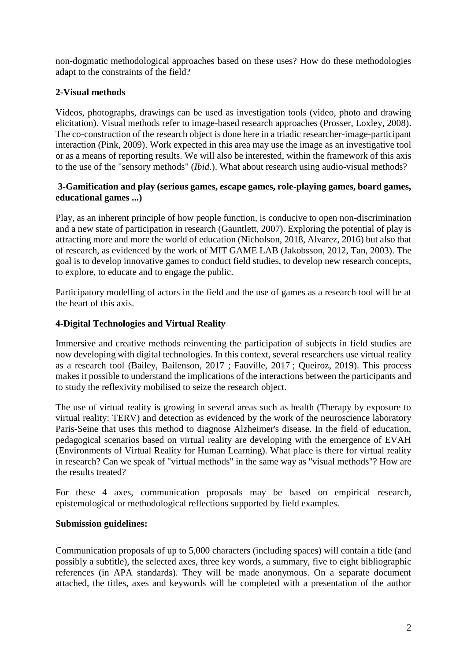non-dogmatic methodological approaches based on these uses? How do these methodologies adapt to the constraints of the field?

# **2-Visual methods**

Videos, photographs, drawings can be used as investigation tools (video, photo and drawing elicitation). Visual methods refer to image-based research approaches (Prosser, Loxley, 2008). The co-construction of the research object is done here in a triadic researcher-image-participant interaction (Pink, 2009). Work expected in this area may use the image as an investigative tool or as a means of reporting results. We will also be interested, within the framework of this axis to the use of the "sensory methods" (*Ibid*.). What about research using audio-visual methods?

#### **3-Gamification and play (serious games, escape games, role-playing games, board games, educational games ...)**

Play, as an inherent principle of how people function, is conducive to open non-discrimination and a new state of participation in research (Gauntlett, 2007). Exploring the potential of play is attracting more and more the world of education (Nicholson, 2018, Alvarez, 2016) but also that of research, as evidenced by the work of MIT GAME LAB (Jakobsson, 2012, Tan, 2003). The goal is to develop innovative games to conduct field studies, to develop new research concepts, to explore, to educate and to engage the public.

Participatory modelling of actors in the field and the use of games as a research tool will be at the heart of this axis.

## **4-Digital Technologies and Virtual Reality**

Immersive and creative methods reinventing the participation of subjects in field studies are now developing with digital technologies. In this context, several researchers use virtual reality as a research tool (Bailey, Bailenson, 2017 ; Fauville, 2017 ; Queiroz, 2019). This process makes it possible to understand the implications of the interactions between the participants and to study the reflexivity mobilised to seize the research object.

The use of virtual reality is growing in several areas such as health (Therapy by exposure to virtual reality: TERV) and detection as evidenced by the work of the neuroscience laboratory Paris-Seine that uses this method to diagnose Alzheimer's disease. In the field of education, pedagogical scenarios based on virtual reality are developing with the emergence of EVAH (Environments of Virtual Reality for Human Learning). What place is there for virtual reality in research? Can we speak of "virtual methods" in the same way as "visual methods"? How are the results treated?

For these 4 axes, communication proposals may be based on empirical research, epistemological or methodological reflections supported by field examples.

## **Submission guidelines:**

Communication proposals of up to 5,000 characters (including spaces) will contain a title (and possibly a subtitle), the selected axes, three key words, a summary, five to eight bibliographic references (in APA standards). They will be made anonymous. On a separate document attached, the titles, axes and keywords will be completed with a presentation of the author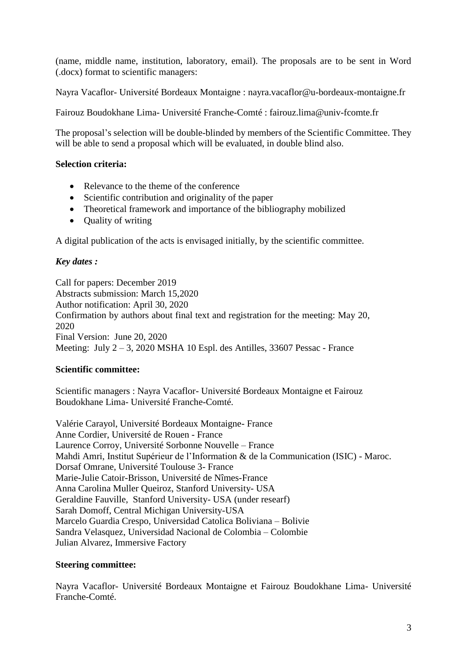(name, middle name, institution, laboratory, email). The proposals are to be sent in Word (.docx) format to scientific managers:

Nayra Vacaflor- Université Bordeaux Montaigne : nayra.vacaflor@u-bordeaux-montaigne.fr

Fairouz Boudokhane Lima- Université Franche-Comté : fairouz.lima@univ-fcomte.fr

The proposal's selection will be double-blinded by members of the Scientific Committee. They will be able to send a proposal which will be evaluated, in double blind also.

## **Selection criteria:**

- Relevance to the theme of the conference
- Scientific contribution and originality of the paper
- Theoretical framework and importance of the bibliography mobilized
- Quality of writing

A digital publication of the acts is envisaged initially, by the scientific committee.

#### *Key dates :*

Call for papers: December 2019 Abstracts submission: March 15,2020 Author notification: April 30, 2020 Confirmation by authors about final text and registration for the meeting: May 20, 2020 Final Version: June 20, 2020 Meeting: July 2 – 3, 2020 MSHA 10 Espl. des Antilles, 33607 Pessac - France

#### **Scientific committee:**

Scientific managers : Nayra Vacaflor- Université Bordeaux Montaigne et Fairouz Boudokhane Lima- Université Franche-Comté.

Valérie Carayol, Université Bordeaux Montaigne- France Anne Cordier, Université de Rouen - France Laurence Corroy, Université Sorbonne Nouvelle – France Mahdi Amri, Institut Supérieur de l'Information & de la Communication (ISIC) - Maroc. Dorsaf Omrane, Université Toulouse 3- France Marie-Julie Catoir-Brisson, Université de Nîmes-France Anna Carolina Muller Queiroz, Stanford University- USA Geraldine Fauville, Stanford University- USA (under researf) Sarah Domoff, Central Michigan University-USA Marcelo Guardia Crespo, Universidad Catolica Boliviana – Bolivie Sandra Velasquez, Universidad Nacional de Colombia – Colombie Julian Alvarez, Immersive Factory

#### **Steering committee:**

Nayra Vacaflor- Université Bordeaux Montaigne et Fairouz Boudokhane Lima- Université Franche-Comté.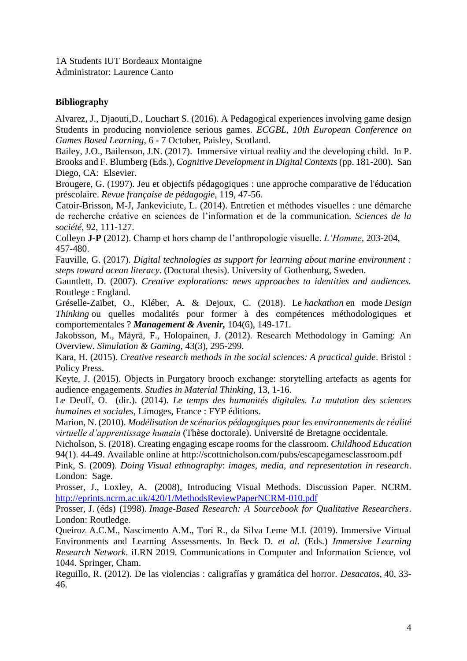1A Students IUT Bordeaux Montaigne Administrator: Laurence Canto

## **Bibliography**

Alvarez, J., Djaouti,D., Louchart S. (2016). A Pedagogical experiences involving game design Students in producing nonviolence serious games. *ECGBL, 10th European Conference on Games Based Learning*, 6 - 7 October, Paisley, Scotland.

Bailey, J.O., Bailenson, J.N. (2017). Immersive virtual reality and the developing child. In P. Brooks and F. Blumberg (Eds.), *Cognitive Development in Digital Contexts* (pp. 181-200). San Diego, CA: Elsevier.

Brougere, G. (1997). Jeu et objectifs pédagogiques : une approche comparative de l'éducation préscolaire. *Revue française de pédagogie*, 119, 47-56.

Catoir-Brisson, M-J, Jankeviciute, L. (2014). Entretien et méthodes visuelles : une démarche de recherche créative en sciences de l'information et de la communication. *Sciences de la société*, 92, 111-127.

Colleyn **J-P** (2012). Champ et hors champ de l'anthropologie visuelle. *L'Homme*, 203-204, 457-480.

Fauville, G. (2017). *Digital technologies as support for learning about marine environment : steps toward ocean literacy*. (Doctoral thesis). University of Gothenburg, Sweden.

Gauntlett, D. (2007). *Creative explorations: news approaches to identities and audiences.*  Routlege : England.

Gréselle-Zaïbet, O., Kléber, A. & Dejoux, C. (2018). Le *hackathon* en mode *Design Thinking* ou quelles modalités pour former à des compétences méthodologiques et comportementales ? *Management & Avenir,* 104(6), 149-171.

Jakobsson, M., Mäyrä, F., Holopainen, J. (2012). Research Methodology in Gaming: An Overview*. Simulation & Gaming,* 43(3), 295-299.

Kara, H. (2015). *Creative research methods in the social sciences: A practical guide*. Bristol : Policy Press.

Keyte, J. (2015). Objects in Purgatory brooch exchange: storytelling artefacts as agents for audience engagements. *Studies in Material Thinking*, 13, 1-16.

Le Deuff, O. (dir.). (2014). *Le temps des humanités digitales. La mutation des sciences humaines et sociales*, Limoges, France : FYP éditions.

Marion, N. (2010). *Modélisation de scénarios pédagogiques pour les environnements de réalité virtuelle d'apprentissage humain* (Thèse doctorale). Université de Bretagne occidentale.

Nicholson, S. (2018). Creating engaging escape rooms for the classroom. *Childhood Education* 94(1). 44-49. Available online at http://scottnicholson.com/pubs/escapegamesclassroom.pdf

Pink, S. (2009). *Doing Visual ethnography*: *images, media, and representation in research*. London: Sage.

Prosser, J., Loxley, A. (2008), Introducing Visual Methods. Discussion Paper. NCRM[.](http://eprints.ncrm.ac.uk/420/1/MethodsReviewPaperNCRM-010.pdf) <http://eprints.ncrm.ac.uk/420/1/MethodsReviewPaperNCRM-010.pdf>

Prosser, J. (éds) (1998). *Image-Based Research: A Sourcebook for Qualitative Researchers*. London: Routledge.

Queiroz A.C.M., Nascimento A.M., Tori R., da Silva Leme M.I. (2019). Immersive Virtual Environments and Learning Assessments. In Beck D. *et al*. (Eds.) *Immersive Learning Research Network*. iLRN 2019. Communications in Computer and Information Science, vol 1044. Springer, Cham.

Reguillo, R. (2012). De las violencias : caligrafías y gramática del horror. *Desacatos,* 40, 33- 46.